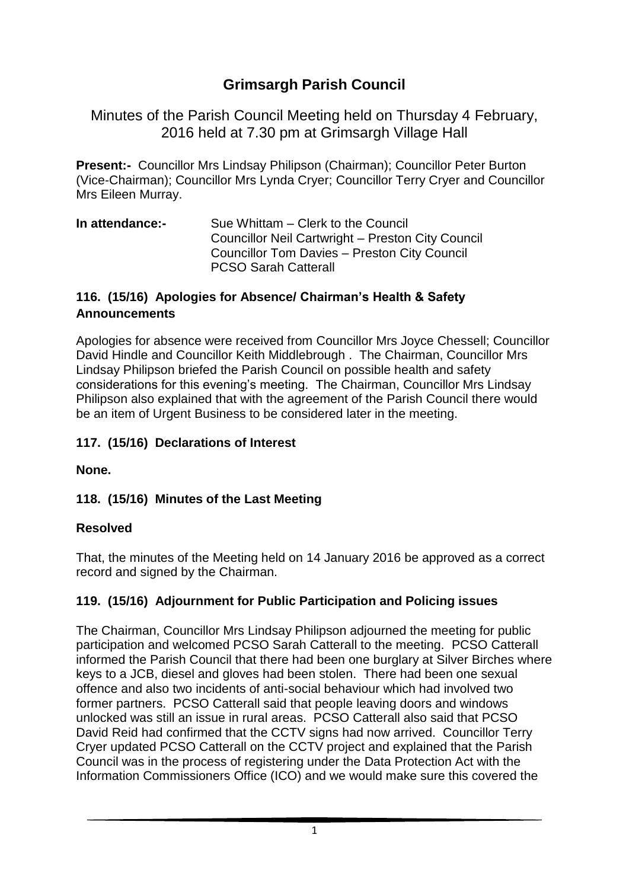# **Grimsargh Parish Council**

Minutes of the Parish Council Meeting held on Thursday 4 February, 2016 held at 7.30 pm at Grimsargh Village Hall

**Present:-** Councillor Mrs Lindsay Philipson (Chairman); Councillor Peter Burton (Vice-Chairman); Councillor Mrs Lynda Cryer; Councillor Terry Cryer and Councillor Mrs Eileen Murray.

**In attendance:-** Sue Whittam – Clerk to the Council Councillor Neil Cartwright – Preston City Council Councillor Tom Davies – Preston City Council PCSO Sarah Catterall

#### **116. (15/16) Apologies for Absence/ Chairman's Health & Safety Announcements**

Apologies for absence were received from Councillor Mrs Joyce Chessell; Councillor David Hindle and Councillor Keith Middlebrough . The Chairman, Councillor Mrs Lindsay Philipson briefed the Parish Council on possible health and safety considerations for this evening's meeting. The Chairman, Councillor Mrs Lindsay Philipson also explained that with the agreement of the Parish Council there would be an item of Urgent Business to be considered later in the meeting.

#### **117. (15/16) Declarations of Interest**

**None.**

#### **118. (15/16) Minutes of the Last Meeting**

#### **Resolved**

That, the minutes of the Meeting held on 14 January 2016 be approved as a correct record and signed by the Chairman.

#### **119. (15/16) Adjournment for Public Participation and Policing issues**

The Chairman, Councillor Mrs Lindsay Philipson adjourned the meeting for public participation and welcomed PCSO Sarah Catterall to the meeting. PCSO Catterall informed the Parish Council that there had been one burglary at Silver Birches where keys to a JCB, diesel and gloves had been stolen. There had been one sexual offence and also two incidents of anti-social behaviour which had involved two former partners. PCSO Catterall said that people leaving doors and windows unlocked was still an issue in rural areas. PCSO Catterall also said that PCSO David Reid had confirmed that the CCTV signs had now arrived. Councillor Terry Cryer updated PCSO Catterall on the CCTV project and explained that the Parish Council was in the process of registering under the Data Protection Act with the Information Commissioners Office (ICO) and we would make sure this covered the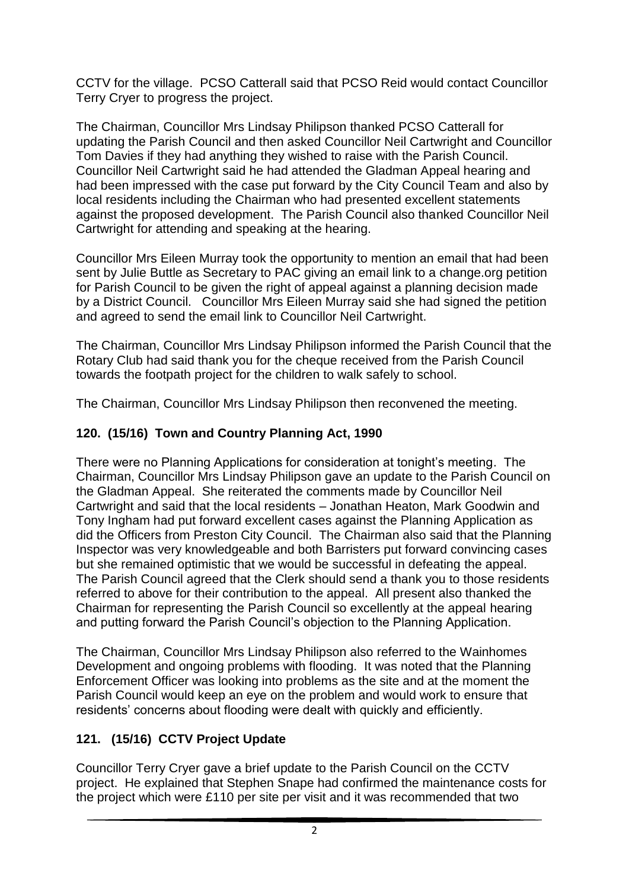CCTV for the village. PCSO Catterall said that PCSO Reid would contact Councillor Terry Cryer to progress the project.

The Chairman, Councillor Mrs Lindsay Philipson thanked PCSO Catterall for updating the Parish Council and then asked Councillor Neil Cartwright and Councillor Tom Davies if they had anything they wished to raise with the Parish Council. Councillor Neil Cartwright said he had attended the Gladman Appeal hearing and had been impressed with the case put forward by the City Council Team and also by local residents including the Chairman who had presented excellent statements against the proposed development. The Parish Council also thanked Councillor Neil Cartwright for attending and speaking at the hearing.

Councillor Mrs Eileen Murray took the opportunity to mention an email that had been sent by Julie Buttle as Secretary to PAC giving an email link to a change.org petition for Parish Council to be given the right of appeal against a planning decision made by a District Council. Councillor Mrs Eileen Murray said she had signed the petition and agreed to send the email link to Councillor Neil Cartwright.

The Chairman, Councillor Mrs Lindsay Philipson informed the Parish Council that the Rotary Club had said thank you for the cheque received from the Parish Council towards the footpath project for the children to walk safely to school.

The Chairman, Councillor Mrs Lindsay Philipson then reconvened the meeting.

### **120. (15/16) Town and Country Planning Act, 1990**

There were no Planning Applications for consideration at tonight's meeting. The Chairman, Councillor Mrs Lindsay Philipson gave an update to the Parish Council on the Gladman Appeal. She reiterated the comments made by Councillor Neil Cartwright and said that the local residents – Jonathan Heaton, Mark Goodwin and Tony Ingham had put forward excellent cases against the Planning Application as did the Officers from Preston City Council. The Chairman also said that the Planning Inspector was very knowledgeable and both Barristers put forward convincing cases but she remained optimistic that we would be successful in defeating the appeal. The Parish Council agreed that the Clerk should send a thank you to those residents referred to above for their contribution to the appeal. All present also thanked the Chairman for representing the Parish Council so excellently at the appeal hearing and putting forward the Parish Council's objection to the Planning Application.

The Chairman, Councillor Mrs Lindsay Philipson also referred to the Wainhomes Development and ongoing problems with flooding. It was noted that the Planning Enforcement Officer was looking into problems as the site and at the moment the Parish Council would keep an eye on the problem and would work to ensure that residents' concerns about flooding were dealt with quickly and efficiently.

## **121. (15/16) CCTV Project Update**

Councillor Terry Cryer gave a brief update to the Parish Council on the CCTV project. He explained that Stephen Snape had confirmed the maintenance costs for the project which were £110 per site per visit and it was recommended that two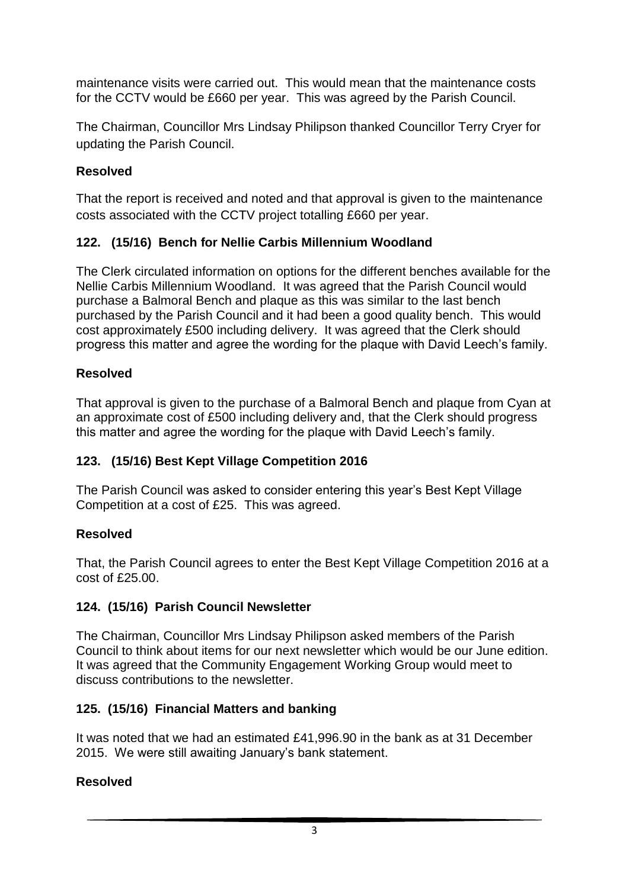maintenance visits were carried out. This would mean that the maintenance costs for the CCTV would be £660 per year. This was agreed by the Parish Council.

The Chairman, Councillor Mrs Lindsay Philipson thanked Councillor Terry Cryer for updating the Parish Council.

#### **Resolved**

That the report is received and noted and that approval is given to the maintenance costs associated with the CCTV project totalling £660 per year.

### **122. (15/16) Bench for Nellie Carbis Millennium Woodland**

The Clerk circulated information on options for the different benches available for the Nellie Carbis Millennium Woodland. It was agreed that the Parish Council would purchase a Balmoral Bench and plaque as this was similar to the last bench purchased by the Parish Council and it had been a good quality bench. This would cost approximately £500 including delivery. It was agreed that the Clerk should progress this matter and agree the wording for the plaque with David Leech's family.

#### **Resolved**

That approval is given to the purchase of a Balmoral Bench and plaque from Cyan at an approximate cost of £500 including delivery and, that the Clerk should progress this matter and agree the wording for the plaque with David Leech's family.

#### **123. (15/16) Best Kept Village Competition 2016**

The Parish Council was asked to consider entering this year's Best Kept Village Competition at a cost of £25. This was agreed.

#### **Resolved**

That, the Parish Council agrees to enter the Best Kept Village Competition 2016 at a cost of £25.00.

#### **124. (15/16) Parish Council Newsletter**

The Chairman, Councillor Mrs Lindsay Philipson asked members of the Parish Council to think about items for our next newsletter which would be our June edition. It was agreed that the Community Engagement Working Group would meet to discuss contributions to the newsletter.

#### **125. (15/16) Financial Matters and banking**

It was noted that we had an estimated £41,996.90 in the bank as at 31 December 2015. We were still awaiting January's bank statement.

#### **Resolved**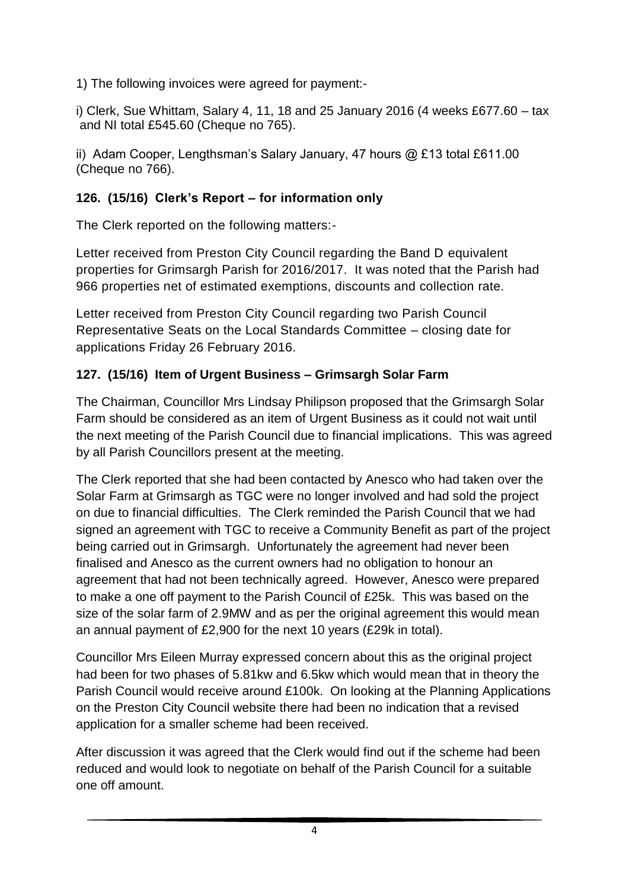1) The following invoices were agreed for payment:-

i) Clerk, Sue Whittam, Salary 4, 11, 18 and 25 January 2016 (4 weeks £677.60 – tax and NI total £545.60 (Cheque no 765).

ii) Adam Cooper, Lengthsman's Salary January, 47 hours @ £13 total £611.00 (Cheque no 766).

### **126. (15/16) Clerk's Report – for information only**

The Clerk reported on the following matters:-

Letter received from Preston City Council regarding the Band D equivalent properties for Grimsargh Parish for 2016/2017. It was noted that the Parish had 966 properties net of estimated exemptions, discounts and collection rate.

Letter received from Preston City Council regarding two Parish Council Representative Seats on the Local Standards Committee – closing date for applications Friday 26 February 2016.

## **127. (15/16) Item of Urgent Business – Grimsargh Solar Farm**

The Chairman, Councillor Mrs Lindsay Philipson proposed that the Grimsargh Solar Farm should be considered as an item of Urgent Business as it could not wait until the next meeting of the Parish Council due to financial implications. This was agreed by all Parish Councillors present at the meeting.

The Clerk reported that she had been contacted by Anesco who had taken over the Solar Farm at Grimsargh as TGC were no longer involved and had sold the project on due to financial difficulties. The Clerk reminded the Parish Council that we had signed an agreement with TGC to receive a Community Benefit as part of the project being carried out in Grimsargh. Unfortunately the agreement had never been finalised and Anesco as the current owners had no obligation to honour an agreement that had not been technically agreed. However, Anesco were prepared to make a one off payment to the Parish Council of £25k. This was based on the size of the solar farm of 2.9MW and as per the original agreement this would mean an annual payment of £2,900 for the next 10 years (£29k in total).

Councillor Mrs Eileen Murray expressed concern about this as the original project had been for two phases of 5.81kw and 6.5kw which would mean that in theory the Parish Council would receive around £100k. On looking at the Planning Applications on the Preston City Council website there had been no indication that a revised application for a smaller scheme had been received.

After discussion it was agreed that the Clerk would find out if the scheme had been reduced and would look to negotiate on behalf of the Parish Council for a suitable one off amount.